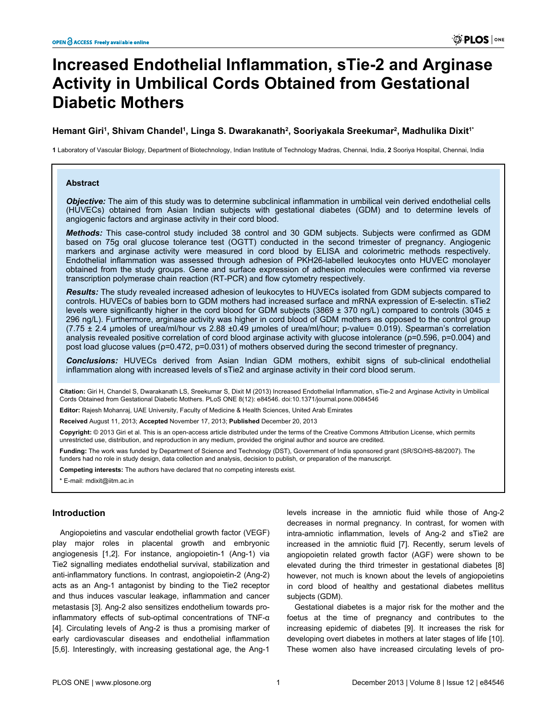# **Increased Endothelial Inflammation, sTie-2 and Arginase Activity in Umbilical Cords Obtained from Gestational Diabetic Mothers**

# **Hemant Giri<sup>1</sup> , Shivam Chandel<sup>1</sup> , Linga S. Dwarakanath<sup>2</sup> , Sooriyakala Sreekumar<sup>2</sup> , Madhulika Dixit1\***

**1** Laboratory of Vascular Biology, Department of Biotechnology, Indian Institute of Technology Madras, Chennai, India, **2** Sooriya Hospital, Chennai, India

## **Abstract**

*Objective:* The aim of this study was to determine subclinical inflammation in umbilical vein derived endothelial cells (HUVECs) obtained from Asian Indian subjects with gestational diabetes (GDM) and to determine levels of angiogenic factors and arginase activity in their cord blood.

*Methods:* This case-control study included 38 control and 30 GDM subjects. Subjects were confirmed as GDM based on 75g oral glucose tolerance test (OGTT) conducted in the second trimester of pregnancy. Angiogenic markers and arginase activity were measured in cord blood by ELISA and colorimetric methods respectively. Endothelial inflammation was assessed through adhesion of PKH26-labelled leukocytes onto HUVEC monolayer obtained from the study groups. Gene and surface expression of adhesion molecules were confirmed via reverse transcription polymerase chain reaction (RT-PCR) and flow cytometry respectively.

*Results:* The study revealed increased adhesion of leukocytes to HUVECs isolated from GDM subjects compared to controls. HUVECs of babies born to GDM mothers had increased surface and mRNA expression of E-selectin. sTie2 levels were significantly higher in the cord blood for GDM subjects (3869  $\pm$  370 ng/L) compared to controls (3045  $\pm$ 296 ng/L). Furthermore, arginase activity was higher in cord blood of GDM mothers as opposed to the control group  $(7.75 \pm 2.4$  µmoles of urea/ml/hour vs 2.88  $\pm 0.49$  µmoles of urea/ml/hour; p-value= 0.019). Spearman's correlation analysis revealed positive correlation of cord blood arginase activity with glucose intolerance (ρ=0.596, p=0.004) and post load glucose values ( $p=0.472$ ,  $p=0.031$ ) of mothers observed during the second trimester of pregnancy.

*Conclusions:* HUVECs derived from Asian Indian GDM mothers, exhibit signs of sub-clinical endothelial inflammation along with increased levels of sTie2 and arginase activity in their cord blood serum.

**Citation:** Giri H, Chandel S, Dwarakanath LS, Sreekumar S, Dixit M (2013) Increased Endothelial Inflammation, sTie-2 and Arginase Activity in Umbilical Cords Obtained from Gestational Diabetic Mothers. PLoS ONE 8(12): e84546. doi:10.1371/journal.pone.0084546

**Editor:** Rajesh Mohanraj, UAE University, Faculty of Medicine & Health Sciences, United Arab Emirates

**Received** August 11, 2013; **Accepted** November 17, 2013; **Published** December 20, 2013

**Copyright:** © 2013 Giri et al. This is an open-access article distributed under the terms of the [Creative Commons Attribution License,](http://creativecommons.org/licenses/by/4.0/) which permits unrestricted use, distribution, and reproduction in any medium, provided the original author and source are credited.

**Funding:** The work was funded by Department of Science and Technology (DST), Government of India sponsored grant (SR/SO/HS-88/2007). The funders had no role in study design, data collection and analysis, decision to publish, or preparation of the manuscript.

**Competing interests:** The authors have declared that no competing interests exist.

# **Introduction**

Angiopoietins and vascular endothelial growth factor (VEGF) play major roles in placental growth and embryonic angiogenesis [\[1,2\]](#page-7-0). For instance, angiopoietin-1 (Ang-1) via Tie2 signalling mediates endothelial survival, stabilization and anti-inflammatory functions. In contrast, angiopoietin-2 (Ang-2) acts as an Ang-1 antagonist by binding to the Tie2 receptor and thus induces vascular leakage, inflammation and cancer metastasis [\[3](#page-7-0)]. Ang-2 also sensitizes endothelium towards proinflammatory effects of sub-optimal concentrations of TNF-α [[4\]](#page-7-0). Circulating levels of Ang-2 is thus a promising marker of early cardiovascular diseases and endothelial inflammation [[5,6\]](#page-7-0). Interestingly, with increasing gestational age, the Ang-1

levels increase in the amniotic fluid while those of Ang-2 decreases in normal pregnancy. In contrast, for women with intra-amniotic inflammation, levels of Ang-2 and sTie2 are increased in the amniotic fluid [[7\]](#page-7-0). Recently, serum levels of angiopoietin related growth factor (AGF) were shown to be elevated during the third trimester in gestational diabetes [\[8](#page-7-0)] however, not much is known about the levels of angiopoietins in cord blood of healthy and gestational diabetes mellitus subjects (GDM).

Gestational diabetes is a major risk for the mother and the foetus at the time of pregnancy and contributes to the increasing epidemic of diabetes [\[9\]](#page-7-0). It increases the risk for developing overt diabetes in mothers at later stages of life [\[10\]](#page-7-0). These women also have increased circulating levels of pro-

<sup>\*</sup> E-mail: mdixit@iitm.ac.in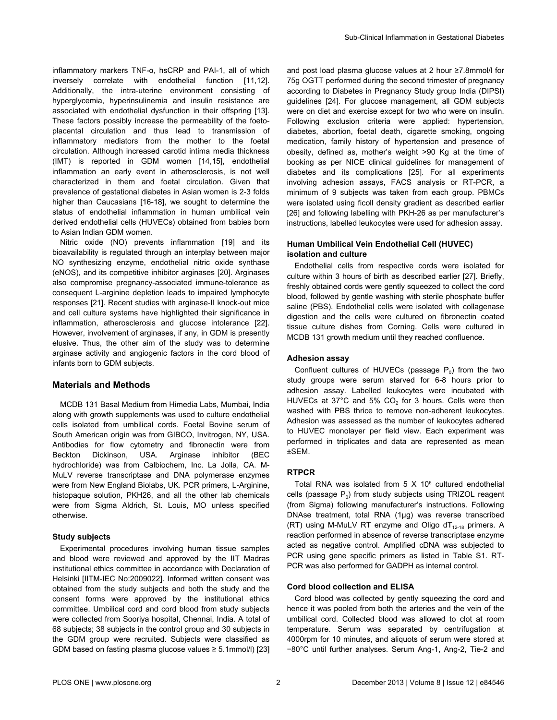inflammatory markers TNF-α, hsCRP and PAI-1, all of which inversely correlate with endothelial function [[11,12\]](#page-7-0). Additionally, the intra-uterine environment consisting of hyperglycemia, hyperinsulinemia and insulin resistance are associated with endothelial dysfunction in their offspring [\[13\]](#page-7-0). These factors possibly increase the permeability of the foetoplacental circulation and thus lead to transmission of inflammatory mediators from the mother to the foetal circulation. Although increased carotid intima media thickness (IMT) is reported in GDM women [\[14,15](#page-7-0)], endothelial inflammation an early event in atherosclerosis, is not well characterized in them and foetal circulation. Given that prevalence of gestational diabetes in Asian women is 2-3 folds higher than Caucasians [[16](#page-7-0)-[18](#page-7-0)], we sought to determine the status of endothelial inflammation in human umbilical vein derived endothelial cells (HUVECs) obtained from babies born to Asian Indian GDM women.

Nitric oxide (NO) prevents inflammation [\[19\]](#page-7-0) and its bioavailability is regulated through an interplay between major NO synthesizing enzyme, endothelial nitric oxide synthase (eNOS), and its competitive inhibitor arginases [[20\]](#page-7-0). Arginases also compromise pregnancy-associated immune-tolerance as consequent L-arginine depletion leads to impaired lymphocyte responses [[21](#page-7-0)]. Recent studies with arginase-II knock-out mice and cell culture systems have highlighted their significance in inflammation, atherosclerosis and glucose intolerance [\[22\]](#page-7-0). However, involvement of arginases, if any, in GDM is presently elusive. Thus, the other aim of the study was to determine arginase activity and angiogenic factors in the cord blood of infants born to GDM subjects.

# **Materials and Methods**

MCDB 131 Basal Medium from Himedia Labs, Mumbai, India along with growth supplements was used to culture endothelial cells isolated from umbilical cords. Foetal Bovine serum of South American origin was from GIBCO, Invitrogen, NY, USA. Antibodies for flow cytometry and fibronectin were from Beckton Dickinson, USA. Arginase inhibitor (BEC hydrochloride) was from Calbiochem, Inc. La Jolla, CA. M-MuLV reverse transcriptase and DNA polymerase enzymes were from New England Biolabs, UK. PCR primers, L-Arginine, histopaque solution, PKH26, and all the other lab chemicals were from Sigma Aldrich, St. Louis, MO unless specified otherwise.

# **Study subjects**

Experimental procedures involving human tissue samples and blood were reviewed and approved by the IIT Madras institutional ethics committee in accordance with Declaration of Helsinki [IITM-IEC No:2009022]. Informed written consent was obtained from the study subjects and both the study and the consent forms were approved by the institutional ethics committee. Umbilical cord and cord blood from study subjects were collected from Sooriya hospital, Chennai, India. A total of 68 subjects; 38 subjects in the control group and 30 subjects in the GDM group were recruited. Subjects were classified as GDM based on fasting plasma glucose values ≥ 5.1mmol/l) [[23](#page-7-0)] and post load plasma glucose values at 2 hour ≥7.8mmol/l for 75g OGTT performed during the second trimester of pregnancy according to Diabetes in Pregnancy Study group India (DIPSI) guidelines [[24\]](#page-7-0). For glucose management, all GDM subjects were on diet and exercise except for two who were on insulin. Following exclusion criteria were applied: hypertension, diabetes, abortion, foetal death, cigarette smoking, ongoing medication, family history of hypertension and presence of obesity, defined as, mother's weight >90 Kg at the time of booking as per NICE clinical guidelines for management of diabetes and its complications [[25](#page-7-0)]. For all experiments involving adhesion assays, FACS analysis or RT-PCR, a minimum of 9 subjects was taken from each group. PBMCs were isolated using ficoll density gradient as described earlier [[26](#page-7-0)] and following labelling with PKH-26 as per manufacturer's instructions, labelled leukocytes were used for adhesion assay.

# **Human Umbilical Vein Endothelial Cell (HUVEC) isolation and culture**

Endothelial cells from respective cords were isolated for culture within 3 hours of birth as described earlier [\[27\]](#page-7-0). Briefly, freshly obtained cords were gently squeezed to collect the cord blood, followed by gentle washing with sterile phosphate buffer saline (PBS). Endothelial cells were isolated with collagenase digestion and the cells were cultured on fibronectin coated tissue culture dishes from Corning. Cells were cultured in MCDB 131 growth medium until they reached confluence.

## **Adhesion assay**

Confluent cultures of HUVECs (passage  $P_0$ ) from the two study groups were serum starved for 6-8 hours prior to adhesion assay. Labelled leukocytes were incubated with HUVECs at 37°C and 5%  $CO<sub>2</sub>$  for 3 hours. Cells were then washed with PBS thrice to remove non-adherent leukocytes. Adhesion was assessed as the number of leukocytes adhered to HUVEC monolayer per field view. Each experiment was performed in triplicates and data are represented as mean ±SEM.

# **RTPCR**

Total RNA was isolated from  $5 \times 10^6$  cultured endothelial cells (passage  $P_0$ ) from study subjects using TRIZOL reagent (from Sigma) following manufacturer's instructions. Following DNAse treatment, total RNA (1μg) was reverse transcribed (RT) using M-MuLV RT enzyme and Oligo  $dT<sub>12-18</sub>$  primers. A reaction performed in absence of reverse transcriptase enzyme acted as negative control. Amplified cDNA was subjected to PCR using gene specific primers as listed in [Table S1.](#page-6-0) RT-PCR was also performed for GADPH as internal control.

## **Cord blood collection and ELISA**

Cord blood was collected by gently squeezing the cord and hence it was pooled from both the arteries and the vein of the umbilical cord. Collected blood was allowed to clot at room temperature. Serum was separated by centrifugation at 4000rpm for 10 minutes, and aliquots of serum were stored at −80°C until further analyses. Serum Ang-1, Ang-2, Tie-2 and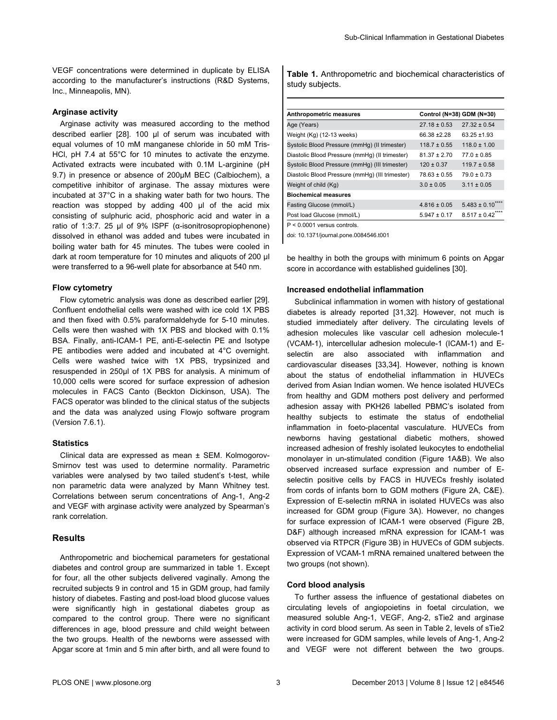VEGF concentrations were determined in duplicate by ELISA according to the manufacturer's instructions (R&D Systems, Inc., Minneapolis, MN).

#### **Arginase activity**

Arginase activity was measured according to the method described earlier [\[28](#page-7-0)]. 100 µl of serum was incubated with equal volumes of 10 mM manganese chloride in 50 mM Tris-HCl, pH 7.4 at 55°C for 10 minutes to activate the enzyme. Activated extracts were incubated with 0.1M L-arginine (pH 9.7) in presence or absence of 200µM BEC (Calbiochem), a competitive inhibitor of arginase. The assay mixtures were incubated at 37°C in a shaking water bath for two hours. The reaction was stopped by adding 400 µl of the acid mix consisting of sulphuric acid, phosphoric acid and water in a ratio of 1:3:7. 25 µl of 9% ISPF (α-isonitrosopropiophenone) dissolved in ethanol was added and tubes were incubated in boiling water bath for 45 minutes. The tubes were cooled in dark at room temperature for 10 minutes and aliquots of 200 µl were transferred to a 96-well plate for absorbance at 540 nm.

#### **Flow cytometry**

Flow cytometric analysis was done as described earlier [\[29\]](#page-7-0). Confluent endothelial cells were washed with ice cold 1X PBS and then fixed with 0.5% paraformaldehyde for 5-10 minutes. Cells were then washed with 1X PBS and blocked with 0.1% BSA. Finally, anti-ICAM-1 PE, anti-E-selectin PE and Isotype PE antibodies were added and incubated at 4°C overnight. Cells were washed twice with 1X PBS, trypsinized and resuspended in 250μl of 1X PBS for analysis. A minimum of 10,000 cells were scored for surface expression of adhesion molecules in FACS Canto (Beckton Dickinson, USA). The FACS operator was blinded to the clinical status of the subjects and the data was analyzed using Flowjo software program (Version 7.6.1).

## **Statistics**

Clinical data are expressed as mean ± SEM. Kolmogorov-Smirnov test was used to determine normality. Parametric variables were analysed by two tailed student's t-test, while non parametric data were analyzed by Mann Whitney test. Correlations between serum concentrations of Ang-1, Ang-2 and VEGF with arginase activity were analyzed by Spearman's rank correlation.

## **Results**

Anthropometric and biochemical parameters for gestational diabetes and control group are summarized in table 1. Except for four, all the other subjects delivered vaginally. Among the recruited subjects 9 in control and 15 in GDM group, had family history of diabetes. Fasting and post-load blood glucose values were significantly high in gestational diabetes group as compared to the control group. There were no significant differences in age, blood pressure and child weight between the two groups. Health of the newborns were assessed with Apgar score at 1min and 5 min after birth, and all were found to

**Table 1.** Anthropometric and biochemical characteristics of study subjects.

| Anthropometric measures                         |                  | Control (N=38) GDM (N=30)      |
|-------------------------------------------------|------------------|--------------------------------|
| Age (Years)                                     | $27.18 \pm 0.53$ | $27.32 \pm 0.54$               |
| Weight (Kg) (12-13 weeks)                       | 66.38 ± 2.28     | $63.25 + 1.93$                 |
| Systolic Blood Pressure (mmHg) (II trimester)   | $118.7 \pm 0.55$ | $118.0 \pm 1.00$               |
| Diastolic Blood Pressure (mmHq) (Il trimester)  | $81.37 \pm 2.70$ | $77.0 \pm 0.85$                |
| Systolic Blood Pressure (mmHg) (III trimester)  | $120 \pm 0.37$   | $119.7 \pm 0.58$               |
| Diastolic Blood Pressure (mmHg) (III trimester) | $78.63 \pm 0.55$ | $79.0 \pm 0.73$                |
| Weight of child (Kg)                            | $3.0 \pm 0.05$   | $3.11 \pm 0.05$                |
| <b>Biochemical measures</b>                     |                  |                                |
| Fasting Glucose (mmol/L)                        | $4.816 \pm 0.05$ | $5.483 \pm 0.10$ <sup>**</sup> |
| Post load Glucose (mmol/L)                      | $5.947 \pm 0.17$ | $8.517 \pm 0.42$ ***           |
| $P < 0.0001$ versus controls.                   |                  |                                |

doi: 10.1371/journal.pone.0084546.t001

be healthy in both the groups with minimum 6 points on Apgar score in accordance with established guidelines [[30](#page-7-0)].

#### **Increased endothelial inflammation**

Subclinical inflammation in women with history of gestational diabetes is already reported [[31](#page-7-0),[32\]](#page-7-0). However, not much is studied immediately after delivery. The circulating levels of adhesion molecules like vascular cell adhesion molecule-1 (VCAM-1), intercellular adhesion molecule-1 (ICAM-1) and Eselectin are also associated with inflammation and cardiovascular diseases [\[33](#page-7-0)[,34\]](#page-8-0). However, nothing is known about the status of endothelial inflammation in HUVECs derived from Asian Indian women. We hence isolated HUVECs from healthy and GDM mothers post delivery and performed adhesion assay with PKH26 labelled PBMC's isolated from healthy subjects to estimate the status of endothelial inflammation in foeto-placental vasculature. HUVECs from newborns having gestational diabetic mothers, showed increased adhesion of freshly isolated leukocytes to endothelial monolayer in un-stimulated condition [\(Figure 1A&B\)](#page-3-0). We also observed increased surface expression and number of Eselectin positive cells by FACS in HUVECs freshly isolated from cords of infants born to GDM mothers [\(Figure 2A, C&E](#page-4-0)). Expression of E-selectin mRNA in isolated HUVECs was also increased for GDM group ([Figure 3A](#page-5-0)). However, no changes for surface expression of ICAM-1 were observed ([Figure 2B,](#page-4-0) [D&F\)](#page-4-0) although increased mRNA expression for ICAM-1 was observed via RTPCR ([Figure 3B\)](#page-5-0) in HUVECs of GDM subjects. Expression of VCAM-1 mRNA remained unaltered between the two groups (not shown).

#### **Cord blood analysis**

To further assess the influence of gestational diabetes on circulating levels of angiopoietins in foetal circulation, we measured soluble Ang-1, VEGF, Ang-2, sTie2 and arginase activity in cord blood serum. As seen in [Table 2,](#page-6-0) levels of sTie2 were increased for GDM samples, while levels of Ang-1, Ang-2 and VEGF were not different between the two groups.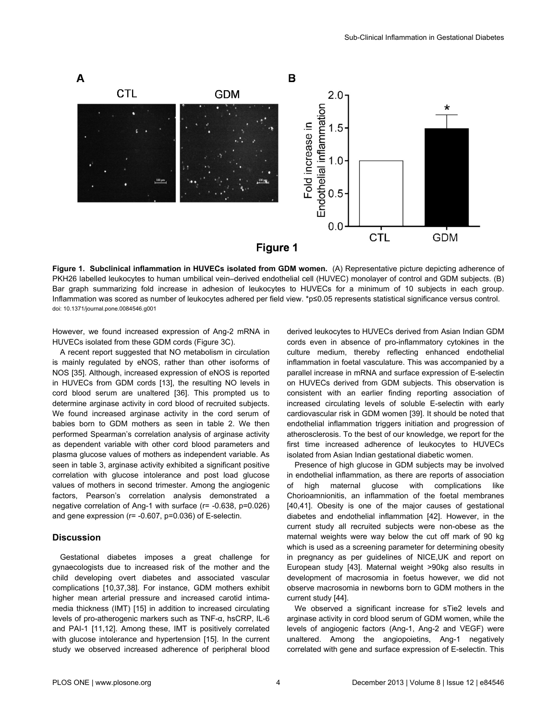<span id="page-3-0"></span>

**Figure 1. Subclinical inflammation in HUVECs isolated from GDM women.** (A) Representative picture depicting adherence of PKH26 labelled leukocytes to human umbilical vein–derived endothelial cell (HUVEC) monolayer of control and GDM subjects. (B) Bar graph summarizing fold increase in adhesion of leukocytes to HUVECs for a minimum of 10 subjects in each group. Inflammation was scored as number of leukocytes adhered per field view. \*p≤0.05 represents statistical significance versus control. doi: 10.1371/journal.pone.0084546.g001

However, we found increased expression of Ang-2 mRNA in HUVECs isolated from these GDM cords [\(Figure 3C\)](#page-5-0).

A recent report suggested that NO metabolism in circulation is mainly regulated by eNOS, rather than other isoforms of NOS [\[35\]](#page-8-0). Although, increased expression of eNOS is reported in HUVECs from GDM cords [[13](#page-7-0)], the resulting NO levels in cord blood serum are unaltered [[36](#page-8-0)]. This prompted us to determine arginase activity in cord blood of recruited subjects. We found increased arginase activity in the cord serum of babies born to GDM mothers as seen in [table 2.](#page-6-0) We then performed Spearman's correlation analysis of arginase activity as dependent variable with other cord blood parameters and plasma glucose values of mothers as independent variable. As seen in [table 3,](#page-6-0) arginase activity exhibited a significant positive correlation with glucose intolerance and post load glucose values of mothers in second trimester. Among the angiogenic factors, Pearson's correlation analysis demonstrated a negative correlation of Ang-1 with surface (r= -0.638, p=0.026) and gene expression (r= -0.607, p=0.036) of E-selectin.

## **Discussion**

Gestational diabetes imposes a great challenge for gynaecologists due to increased risk of the mother and the child developing overt diabetes and associated vascular complications [[10](#page-7-0)[,37,38\]](#page-8-0). For instance, GDM mothers exhibit higher mean arterial pressure and increased carotid intimamedia thickness (IMT) [\[15\]](#page-7-0) in addition to increased circulating levels of pro-atherogenic markers such as TNF-α, hsCRP, IL-6 and PAI-1 [\[11,12\]](#page-7-0). Among these, IMT is positively correlated with glucose intolerance and hypertension [\[15\]](#page-7-0). In the current study we observed increased adherence of peripheral blood

derived leukocytes to HUVECs derived from Asian Indian GDM cords even in absence of pro-inflammatory cytokines in the culture medium, thereby reflecting enhanced endothelial inflammation in foetal vasculature. This was accompanied by a parallel increase in mRNA and surface expression of E-selectin on HUVECs derived from GDM subjects. This observation is consistent with an earlier finding reporting association of increased circulating levels of soluble E-selectin with early cardiovascular risk in GDM women [[39](#page-8-0)]. It should be noted that endothelial inflammation triggers initiation and progression of atherosclerosis. To the best of our knowledge, we report for the first time increased adherence of leukocytes to HUVECs isolated from Asian Indian gestational diabetic women.

Presence of high glucose in GDM subjects may be involved in endothelial inflammation, as there are reports of association of high maternal glucose with complications like Chorioamnionitis, an inflammation of the foetal membranes [[40](#page-8-0),[41](#page-8-0)]. Obesity is one of the major causes of gestational diabetes and endothelial inflammation [[42](#page-8-0)]. However, in the current study all recruited subjects were non-obese as the maternal weights were way below the cut off mark of 90 kg which is used as a screening parameter for determining obesity in pregnancy as per guidelines of NICE,UK and report on European study [\[43\]](#page-8-0). Maternal weight >90kg also results in development of macrosomia in foetus however, we did not observe macrosomia in newborns born to GDM mothers in the current study [\[44\]](#page-8-0).

We observed a significant increase for sTie2 levels and arginase activity in cord blood serum of GDM women, while the levels of angiogenic factors (Ang-1, Ang-2 and VEGF) were unaltered. Among the angiopoietins, Ang-1 negatively correlated with gene and surface expression of E-selectin. This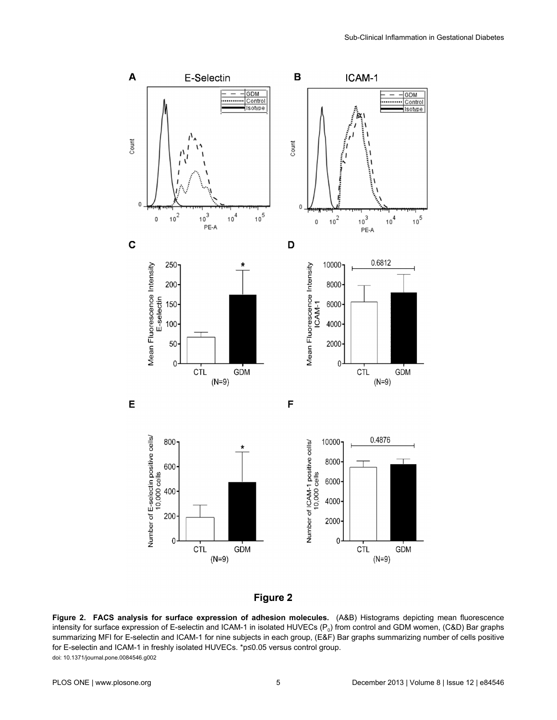<span id="page-4-0"></span>



**Figure 2. FACS analysis for surface expression of adhesion molecules.** (A&B) Histograms depicting mean fluorescence intensity for surface expression of E-selectin and ICAM-1 in isolated HUVECs (P<sub>0</sub>) from control and GDM women, (C&D) Bar graphs summarizing MFI for E-selectin and ICAM-1 for nine subjects in each group, (E&F) Bar graphs summarizing number of cells positive for E-selectin and ICAM-1 in freshly isolated HUVECs. \*p≤0.05 versus control group. doi: 10.1371/journal.pone.0084546.g002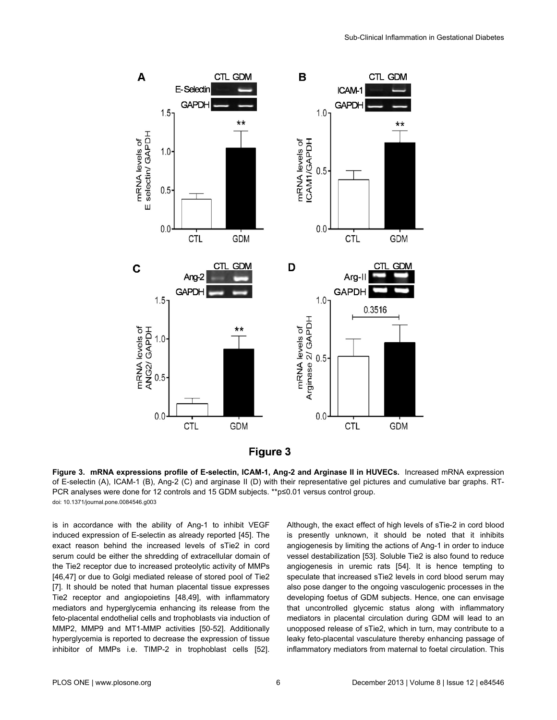<span id="page-5-0"></span>



**Figure 3. mRNA expressions profile of E-selectin, ICAM-1, Ang-2 and Arginase II in HUVECs.** Increased mRNA expression of E-selectin (A), ICAM-1 (B), Ang-2 (C) and arginase II (D) with their representative gel pictures and cumulative bar graphs. RT-PCR analyses were done for 12 controls and 15 GDM subjects. \*\*p≤0.01 versus control group. doi: 10.1371/journal.pone.0084546.g003

is in accordance with the ability of Ang-1 to inhibit VEGF induced expression of E-selectin as already reported [[45](#page-8-0)]. The exact reason behind the increased levels of sTie2 in cord serum could be either the shredding of extracellular domain of the Tie2 receptor due to increased proteolytic activity of MMPs [[46](#page-8-0),[47](#page-8-0)] or due to Golgi mediated release of stored pool of Tie2 [[7\]](#page-7-0). It should be noted that human placental tissue expresses Tie2 receptor and angiopoietins [\[48,49](#page-8-0)], with inflammatory mediators and hyperglycemia enhancing its release from the feto-placental endothelial cells and trophoblasts via induction of MMP2, MMP9 and MT1-MMP activities [[50-52\]](#page-8-0). Additionally hyperglycemia is reported to decrease the expression of tissue inhibitor of MMPs i.e. TIMP-2 in trophoblast cells [\[52\]](#page-8-0).

Although, the exact effect of high levels of sTie-2 in cord blood is presently unknown, it should be noted that it inhibits angiogenesis by limiting the actions of Ang-1 in order to induce vessel destabilization [\[53](#page-8-0)]. Soluble Tie2 is also found to reduce angiogenesis in uremic rats [\[54\]](#page-8-0). It is hence tempting to speculate that increased sTie2 levels in cord blood serum may also pose danger to the ongoing vasculogenic processes in the developing foetus of GDM subjects. Hence, one can envisage that uncontrolled glycemic status along with inflammatory mediators in placental circulation during GDM will lead to an unopposed release of sTie2, which in turn, may contribute to a leaky feto-placental vasculature thereby enhancing passage of inflammatory mediators from maternal to foetal circulation. This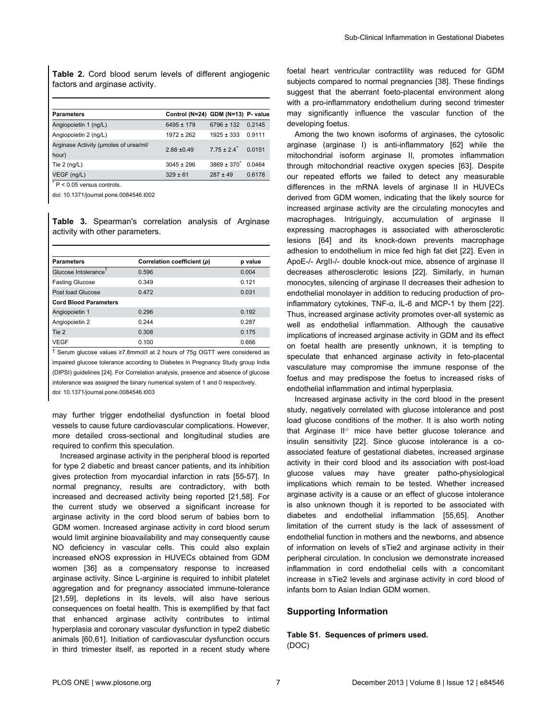<span id="page-6-0"></span>**Table 2.** Cord blood serum levels of different angiogenic factors and arginase activity.

| <b>Parameters</b>                              | Control (N=24) GDM (N=13) P- value |                         |        |
|------------------------------------------------|------------------------------------|-------------------------|--------|
| Angiopoietin 1 (ng/L)                          | $6495 \pm 179$                     | $6796 \pm 132$          | 0 2145 |
| Angiopoietin 2 (ng/L)                          | $1972 \pm 262$                     | $1925 \pm 333$          | 0.9111 |
| Arginase Activity (umoles of urea/ml/<br>hour) | $2.88 + 0.49$                      | $775 + 24$ <sup>*</sup> | 0.0151 |
| Tie $2$ (ng/L)                                 | $3045 \pm 296$                     | $3869 + 370^{*}$        | 0.0464 |
| VEGF (ng/L)                                    | $329 \pm 61$                       | $287 \pm 49$            | 0.6178 |

\* P < 0.05 versus controls.

doi: 10.1371/journal.pone.0084546.t002

**Table 3.** Spearman's correlation analysis of Arginase activity with other parameters.

| <b>Parameters</b>                | Correlation coefficient (p) | p value |
|----------------------------------|-----------------------------|---------|
| Glucose Intolerance <sup>1</sup> | 0.596                       | 0.004   |
| <b>Fasting Glucose</b>           | 0.349                       | 0.121   |
| Post load Glucose                | 0.472                       | 0.031   |
| <b>Cord Blood Parameters</b>     |                             |         |
| Angiopoietin 1                   | 0.296                       | 0.192   |
| Angiopoietin 2                   | 0 244                       | 0.287   |
| Tie 2                            | 0.308                       | 0.175   |
| <b>VEGF</b>                      | 0.100                       | 0.666   |

† Serum glucose values ≥7.8mmol/l at 2 hours of 75g OGTT were considered as impaired glucose tolerance according to Diabetes in Pregnancy Study group India (DIPSI) guidelines [[24\]](#page-7-0). For Correlation analysis, presence and absence of glucose intolerance was assigned the binary numerical system of 1 and 0 respectively.

doi: 10.1371/journal.pone.0084546.t003

may further trigger endothelial dysfunction in foetal blood vessels to cause future cardiovascular complications. However, more detailed cross-sectional and longitudinal studies are required to confirm this speculation.

Increased arginase activity in the peripheral blood is reported for type 2 diabetic and breast cancer patients, and its inhibition gives protection from myocardial infarction in rats [[55-57\]](#page-8-0). In normal pregnancy, results are contradictory, with both increased and decreased activity being reported [[21](#page-7-0)[,58\]](#page-8-0). For the current study we observed a significant increase for arginase activity in the cord blood serum of babies born to GDM women. Increased arginase activity in cord blood serum would limit arginine bioavailability and may consequently cause NO deficiency in vascular cells. This could also explain increased eNOS expression in HUVECs obtained from GDM women [[36](#page-8-0)] as a compensatory response to increased arginase activity. Since L-arginine is required to inhibit platelet aggregation and for pregnancy associated immune-tolerance [[21](#page-7-0),[59](#page-8-0)], depletions in its levels, will also have serious consequences on foetal health. This is exemplified by that fact that enhanced arginase activity contributes to intimal hyperplasia and coronary vascular dysfunction in type2 diabetic animals [[60,61\]](#page-8-0). Initiation of cardiovascular dysfunction occurs in third trimester itself, as reported in a recent study where

foetal heart ventricular contractility was reduced for GDM subjects compared to normal pregnancies [\[38\]](#page-8-0). These findings suggest that the aberrant foeto-placental environment along with a pro-inflammatory endothelium during second trimester may significantly influence the vascular function of the developing foetus.

Among the two known isoforms of arginases, the cytosolic arginase (arginase I) is anti-inflammatory [\[62\]](#page-8-0) while the mitochondrial isoform arginase II, promotes inflammation through mitochondrial reactive oxygen species [[63](#page-8-0)]. Despite our repeated efforts we failed to detect any measurable differences in the mRNA levels of arginase II in HUVECs derived from GDM women, indicating that the likely source for increased arginase activity are the circulating monocytes and macrophages. Intriguingly, accumulation of arginase II expressing macrophages is associated with atherosclerotic lesions [[64](#page-8-0)] and its knock-down prevents macrophage adhesion to endothelium in mice fed high fat diet [\[22\]](#page-7-0). Even in ApoE-/- ArgII-/- double knock-out mice, absence of arginase II decreases atherosclerotic lesions [[22](#page-7-0)]. Similarly, in human monocytes, silencing of arginase II decreases their adhesion to endothelial monolayer in addition to reducing production of proinflammatory cytokines, TNF-α, IL-6 and MCP-1 by them [\[22\]](#page-7-0). Thus, increased arginase activity promotes over-all systemic as well as endothelial inflammation. Although the causative implications of increased arginase activity in GDM and its effect on foetal health are presently unknown, it is tempting to speculate that enhanced arginase activity in feto-placental vasculature may compromise the immune response of the foetus and may predispose the foetus to increased risks of endothelial inflammation and intimal hyperplasia.

Increased arginase activity in the cord blood in the present study, negatively correlated with glucose intolerance and post load glucose conditions of the mother. It is also worth noting that Arginase II-/- mice have better glucose tolerance and insulin sensitivity [\[22\]](#page-7-0). Since glucose intolerance is a coassociated feature of gestational diabetes, increased arginase activity in their cord blood and its association with post-load glucose values may have greater patho-physiological implications which remain to be tested. Whether increased arginase activity is a cause or an effect of glucose intolerance is also unknown though it is reported to be associated with diabetes and endothelial inflammation [[55,65\]](#page-8-0). Another limitation of the current study is the lack of assessment of endothelial function in mothers and the newborns, and absence of information on levels of sTie2 and arginase activity in their peripheral circulation. In conclusion we demonstrate increased inflammation in cord endothelial cells with a concomitant increase in sTie2 levels and arginase activity in cord blood of infants born to Asian Indian GDM women.

# **Supporting Information**

**Table S1. Sequences of primers used.** (DOC)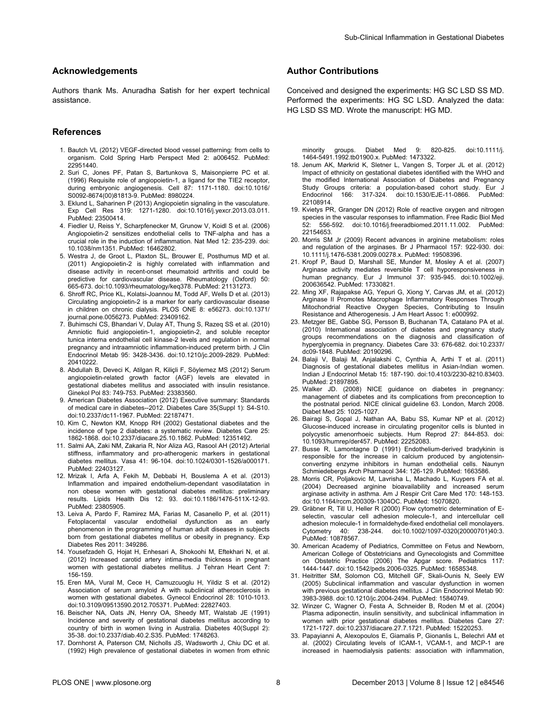## <span id="page-7-0"></span>**Acknowledgements**

Authors thank Ms. Anuradha Satish for her expert technical assistance.

#### **References**

- 1. Bautch VL (2012) VEGF-directed blood vessel patterning: from cells to organism. Cold Spring Harb Perspect Med 2: a006452. PubMed: [22951440.](http://www.ncbi.nlm.nih.gov/pubmed/22951440)
- 2. Suri C, Jones PF, Patan S, Bartunkova S, Maisonpierre PC et al. (1996) Requisite role of angiopoietin-1, a ligand for the TIE2 receptor, during embryonic angiogenesis. Cell 87: 1171-1180. doi[:10.1016/](http://dx.doi.org/10.1016/S0092-8674(00)81813-9) [S0092-8674\(00\)81813-9.](http://dx.doi.org/10.1016/S0092-8674(00)81813-9) PubMed: [8980224.](http://www.ncbi.nlm.nih.gov/pubmed/8980224)
- 3. Eklund L, Saharinen P (2013) Angiopoietin signaling in the vasculature. Exp Cell Res 319: 1271-1280. doi[:10.1016/j.yexcr.2013.03.011.](http://dx.doi.org/10.1016/j.yexcr.2013.03.011) PubMed: [23500414.](http://www.ncbi.nlm.nih.gov/pubmed/23500414)
- 4. Fiedler U, Reiss Y, Scharpfenecker M, Grunow V, Koidl S et al. (2006) Angiopoietin-2 sensitizes endothelial cells to TNF-alpha and has a crucial role in the induction of inflammation. Nat Med 12: 235-239. doi: [10.1038/nm1351](http://dx.doi.org/10.1038/nm1351). PubMed: [16462802](http://www.ncbi.nlm.nih.gov/pubmed/16462802).
- 5. Westra J, de Groot L, Plaxton SL, Brouwer E, Posthumus MD et al. (2011) Angiopoietin-2 is highly correlated with inflammation and disease activity in recent-onset rheumatoid arthritis and could be predictive for cardiovascular disease. Rheumatology (Oxford) 50: 665-673. doi[:10.1093/rheumatology/keq378](http://dx.doi.org/10.1093/rheumatology/keq378). PubMed: [21131273](http://www.ncbi.nlm.nih.gov/pubmed/21131273).
- 6. Shroff RC, Price KL, Kolatsi-Joannou M, Todd AF, Wells D et al. (2013) Circulating angiopoietin-2 is a marker for early cardiovascular disease in children on chronic dialysis. PLOS ONE 8: e56273. doi[:10.1371/](http://dx.doi.org/10.1371/journal.pone.0056273) [journal.pone.0056273](http://dx.doi.org/10.1371/journal.pone.0056273). PubMed: [23409162](http://www.ncbi.nlm.nih.gov/pubmed/23409162).
- 7. Buhimschi CS, Bhandari V, Dulay AT, Thung S, Razeq SS et al. (2010) Amniotic fluid angiopoietin-1, angiopoietin-2, and soluble receptor tunica interna endothelial cell kinase-2 levels and regulation in normal pregnancy and intraamniotic inflammation-induced preterm birth. J Clin Endocrinol Metab 95: 3428-3436. doi:[10.1210/jc.2009-2829](http://dx.doi.org/10.1210/jc.2009-2829). PubMed: [20410222.](http://www.ncbi.nlm.nih.gov/pubmed/20410222)
- 8. Abdullah B, Deveci K, Atilgan R, Kiliçli F, Söylemez MS (2012) Serum angiopoietin-related growth factor (AGF) levels are elevated in gestational diabetes mellitus and associated with insulin resistance. Ginekol Pol 83: 749-753. PubMed: [23383560.](http://www.ncbi.nlm.nih.gov/pubmed/23383560)
- 9. American Diabetes Association (2012) Executive summary: Standards of medical care in diabetes--2012. Diabetes Care 35(Suppl 1): S4-S10. doi:[10.2337/dc11-1967](http://dx.doi.org/10.2337/dc11-1967). PubMed: [22187471](http://www.ncbi.nlm.nih.gov/pubmed/22187471).
- 10. Kim C, Newton KM, Knopp RH (2002) Gestational diabetes and the incidence of type 2 diabetes: a systematic review. Diabetes Care 25: 1862-1868. doi[:10.2337/diacare.25.10.1862](http://dx.doi.org/10.2337/diacare.25.10.1862). PubMed: [12351492](http://www.ncbi.nlm.nih.gov/pubmed/12351492).
- 11. Salmi AA, Zaki NM, Zakaria R, Nor Aliza AG, Rasool AH (2012) Arterial stiffness, inflammatory and pro-atherogenic markers in gestational diabetes mellitus. Vasa 41: 96-104. doi:[10.1024/0301-1526/a000171.](http://dx.doi.org/10.1024/0301-1526/a000171) PubMed: [22403127.](http://www.ncbi.nlm.nih.gov/pubmed/22403127)
- 12. Mrizak I, Arfa A, Fekih M, Debbabi H, Bouslema A et al. (2013) Inflammation and impaired endothelium-dependant vasodilatation in non obese women with gestational diabetes mellitus: preliminary results. Lipids Health Dis 12: 93. doi:[10.1186/1476-511X-12-93.](http://dx.doi.org/10.1186/1476-511X-12-93) PubMed: [23805905.](http://www.ncbi.nlm.nih.gov/pubmed/23805905)
- 13. Leiva A, Pardo F, Ramirez MA, Farias M, Casanello P, et al. (2011) Fetoplacental vascular endothelial dysfunction as an early phenomenon in the programming of human adult diseases in subjects born from gestational diabetes mellitus or obesity in pregnancy. Exp Diabetes Res 2011: 349286.
- 14. Yousefzadeh G, Hojat H, Enhesari A, Shokoohi M, Eftekhari N, et al. (2012) Increased carotid artery intima-media thickness in pregnant women with gestational diabetes mellitus. J Tehran Heart Cent 7: 156-159.
- 15. Eren MA, Vural M, Cece H, Camuzcuoglu H, Yildiz S et al. (2012) Association of serum amyloid A with subclinical atherosclerosis in women with gestational diabetes. Gynecol Endocrinol 28: 1010-1013. doi:[10.3109/09513590.2012.705371](http://dx.doi.org/10.3109/09513590.2012.705371). PubMed: [22827403](http://www.ncbi.nlm.nih.gov/pubmed/22827403).
- 16. Beischer NA, Oats JN, Henry OA, Sheedy MT, Walstab JE (1991) Incidence and severity of gestational diabetes mellitus according to country of birth in women living in Australia. Diabetes 40(Suppl 2): 35-38. doi:[10.2337/diab.40.2.S35](http://dx.doi.org/10.2337/diab.40.2.S35). PubMed: [1748263](http://www.ncbi.nlm.nih.gov/pubmed/1748263).
- 17. Dornhorst A, Paterson CM, Nicholls JS, Wadsworth J, Chiu DC et al. (1992) High prevalence of gestational diabetes in women from ethnic

# **Author Contributions**

Conceived and designed the experiments: HG SC LSD SS MD. Performed the experiments: HG SC LSD. Analyzed the data: HG LSD SS MD. Wrote the manuscript: HG MD.

minority groups. Diabet Med 9: 820-825. doi:[10.1111/j.](http://dx.doi.org/10.1111/j.1464-5491.1992.tb01900.x) [1464-5491.1992.tb01900.x](http://dx.doi.org/10.1111/j.1464-5491.1992.tb01900.x). PubMed: [1473322](http://www.ncbi.nlm.nih.gov/pubmed/1473322).

- 18. Jenum AK, Mørkrid K, Sletner L, Vangen S, Torper JL et al. (2012) Impact of ethnicity on gestational diabetes identified with the WHO and the modified International Association of Diabetes and Pregnancy Study Groups criteria: a population-based cohort study. Eur J Endocrinol 166: 317-324. doi:[10.1530/EJE-11-0866.](http://dx.doi.org/10.1530/EJE-11-0866) PubMed: [22108914.](http://www.ncbi.nlm.nih.gov/pubmed/22108914)
- 19. Kvietys PR, Granger DN (2012) Role of reactive oxygen and nitrogen species in the vascular responses to inflammation. Free Radic Biol Med 52: 556-592. doi:[10.1016/j.freeradbiomed.2011.11.002.](http://dx.doi.org/10.1016/j.freeradbiomed.2011.11.002) PubMed: [22154653.](http://www.ncbi.nlm.nih.gov/pubmed/22154653)
- 20. Morris SM Jr (2009) Recent advances in arginine metabolism: roles and regulation of the arginases. Br J Pharmacol 157: 922-930. doi: [10.1111/j.1476-5381.2009.00278.x](http://dx.doi.org/10.1111/j.1476-5381.2009.00278.x). PubMed: [19508396](http://www.ncbi.nlm.nih.gov/pubmed/19508396).
- 21. Kropf P, Baud D, Marshall SE, Munder M, Mosley A et al. (2007) Arginase activity mediates reversible T cell hyporesponsiveness in human pregnancy. Eur J Immunol 37: 935-945. doi[:10.1002/eji.](http://dx.doi.org/10.1002/eji.200636542) [200636542.](http://dx.doi.org/10.1002/eji.200636542) PubMed: [17330821.](http://www.ncbi.nlm.nih.gov/pubmed/17330821)
- 22. Ming XF, Rajapakse AG, Yepuri G, Xiong Y, Carvas JM, et al. (2012) Arginase II Promotes Macrophage Inflammatory Responses Through Mitochondrial Reactive Oxygen Species, Contributing to Insulin Resistance and Atherogenesis. J Am Heart Assoc 1: e000992.
- 23. Metzger BE, Gabbe SG, Persson B, Buchanan TA, Catalano PA et al. (2010) International association of diabetes and pregnancy study groups recommendations on the diagnosis and classification of hyperglycemia in pregnancy. Diabetes Care 33: 676-682. doi[:10.2337/](http://dx.doi.org/10.2337/dc09-1848) [dc09-1848.](http://dx.doi.org/10.2337/dc09-1848) PubMed: [20190296.](http://www.ncbi.nlm.nih.gov/pubmed/20190296)
- 24. Balaji V, Balaji M, Anjalakshi C, Cynthia A, Arthi T et al. (2011) Diagnosis of gestational diabetes mellitus in Asian-Indian women. Indian J Endocrinol Metab 15: 187-190. doi[:10.4103/2230-8210.83403](http://dx.doi.org/10.4103/2230-8210.83403). PubMed: [21897895.](http://www.ncbi.nlm.nih.gov/pubmed/21897895)
- 25. Walker JD. (2008) NICE guidance on diabetes in pregnancy: management of diabetes and its complications from preconception to the postnatal period. NICE clinical guideline 63. London, March 2008. Diabet Med 25: 1025-1027.
- 26. Bairagi S, Gopal J, Nathan AA, Babu SS, Kumar NP et al. (2012) Glucose-induced increase in circulating progenitor cells is blunted in polycystic amenorrhoeic subjects. Hum Reprod 27: 844-853. doi: [10.1093/humrep/der457](http://dx.doi.org/10.1093/humrep/der457). PubMed: [22252083](http://www.ncbi.nlm.nih.gov/pubmed/22252083).
- 27. Busse R, Lamontagne D (1991) Endothelium-derived bradykinin is responsible for the increase in calcium produced by angiotensinconverting enzyme inhibitors in human endothelial cells. Naunyn Schmiedebergs Arch Pharmacol 344: 126-129. PubMed: [1663586](http://www.ncbi.nlm.nih.gov/pubmed/1663586).
- 28. Morris CR, Poljakovic M, Lavrisha L, Machado L, Kuypers FA et al. (2004) Decreased arginine bioavailability and increased serum arginase activity in asthma. Am J Respir Crit Care Med 170: 148-153. doi:[10.1164/rccm.200309-1304OC.](http://dx.doi.org/10.1164/rccm.200309-1304OC) PubMed: [15070820.](http://www.ncbi.nlm.nih.gov/pubmed/15070820)
- 29. Gräbner R, Till U, Heller R (2000) Flow cytometric determination of Eselectin, vascular cell adhesion molecule-1, and intercellular cell adhesion molecule-1 in formaldehyde-fixed endothelial cell monolayers. Cytometry 40: 238-244. doi[:10.1002/1097-0320\(20000701\)40:3](http://dx.doi.org/10.1002/1097-0320(20000701)40:3). PubMed: [10878567.](http://www.ncbi.nlm.nih.gov/pubmed/10878567)
- 30. American Academy of Pediatrics, Committee on Fetus and Newborn, American College of Obstetricians and Gynecologists and Committee on Obstetric Practice (2006) The Apgar score. Pediatrics 117: 1444-1447. doi[:10.1542/peds.2006-0325.](http://dx.doi.org/10.1542/peds.2006-0325) PubMed: [16585348.](http://www.ncbi.nlm.nih.gov/pubmed/16585348)
- 31. Heitritter SM, Solomon CG, Mitchell GF, Skali-Ounis N, Seely EW (2005) Subclinical inflammation and vascular dysfunction in women with previous gestational diabetes mellitus. J Clin Endocrinol Metab 90: 3983-3988. doi[:10.1210/jc.2004-2494.](http://dx.doi.org/10.1210/jc.2004-2494) PubMed: [15840749.](http://www.ncbi.nlm.nih.gov/pubmed/15840749)
- 32. Winzer C, Wagner O, Festa A, Schneider B, Roden M et al. (2004) Plasma adiponectin, insulin sensitivity, and subclinical inflammation in women with prior gestational diabetes mellitus. Diabetes Care 27: 1721-1727. doi[:10.2337/diacare.27.7.1721](http://dx.doi.org/10.2337/diacare.27.7.1721). PubMed: [15220253](http://www.ncbi.nlm.nih.gov/pubmed/15220253).
- 33. Papayianni A, Alexopoulos E, Giamalis P, Gionanlis L, Belechri AM et al. (2002) Circulating levels of ICAM-1, VCAM-1, and MCP-1 are increased in haemodialysis patients: association with inflammation,